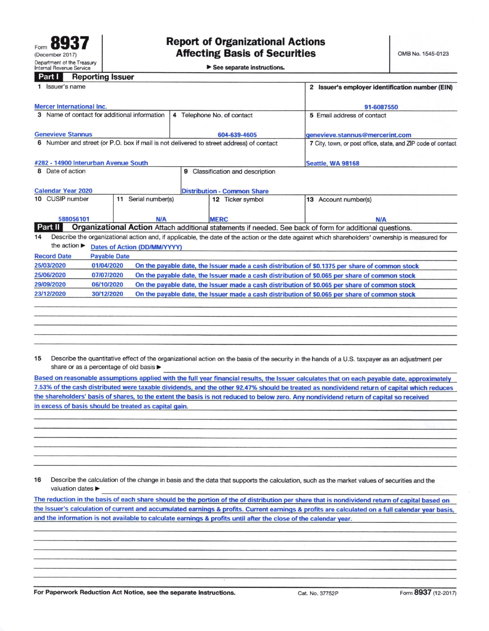See separate instructions.

## **Part I** Reporting Issuer

|                                                                                                                     | 1 Issuer's name                                                                                                                                 |            |                                              | 2 Issuer's employer identification number (EIN) |             |                      |                                                                                                |  |  |
|---------------------------------------------------------------------------------------------------------------------|-------------------------------------------------------------------------------------------------------------------------------------------------|------------|----------------------------------------------|-------------------------------------------------|-------------|----------------------|------------------------------------------------------------------------------------------------|--|--|
|                                                                                                                     | <b>Mercer International Inc.</b>                                                                                                                |            |                                              | 91-6087550                                      |             |                      |                                                                                                |  |  |
|                                                                                                                     |                                                                                                                                                 |            | 3 Name of contact for additional information | 4 Telephone No. of contact                      |             |                      | 5 Email address of contact                                                                     |  |  |
|                                                                                                                     | <b>Genevieve Stannus</b>                                                                                                                        |            |                                              | 604-639-4605                                    |             |                      | genevieve.stannus@mercerint.com                                                                |  |  |
| 6 Number and street (or P.O. box if mail is not delivered to street address) of contact                             |                                                                                                                                                 |            |                                              |                                                 |             |                      | 7 City, town, or post office, state, and ZIP code of contact                                   |  |  |
|                                                                                                                     | #282 - 14900 Interurban Avenue South                                                                                                            |            |                                              | <b>Seattle, WA 98168</b>                        |             |                      |                                                                                                |  |  |
| 8 Date of action<br>9 Classification and description                                                                |                                                                                                                                                 |            |                                              |                                                 |             |                      |                                                                                                |  |  |
|                                                                                                                     | <b>Calendar Year 2020</b>                                                                                                                       |            |                                              |                                                 |             |                      |                                                                                                |  |  |
| 10 CUSIP number<br>Serial number(s)<br>11                                                                           |                                                                                                                                                 |            | 12 Ticker symbol                             |                                                 |             | 13 Account number(s) |                                                                                                |  |  |
|                                                                                                                     | 588056101                                                                                                                                       |            | N/A                                          |                                                 | <b>MERC</b> |                      | N/A                                                                                            |  |  |
| Organizational Action Attach additional statements if needed. See back of form for additional questions.<br>Part II |                                                                                                                                                 |            |                                              |                                                 |             |                      |                                                                                                |  |  |
| 14                                                                                                                  | Describe the organizational action and, if applicable, the date of the action or the date against which shareholders' ownership is measured for |            |                                              |                                                 |             |                      |                                                                                                |  |  |
| the action $\blacktriangleright$<br><b>Dates of Action (DD/MM/YYYY)</b>                                             |                                                                                                                                                 |            |                                              |                                                 |             |                      |                                                                                                |  |  |
| <b>Record Date</b><br><b>Payable Date</b>                                                                           |                                                                                                                                                 |            |                                              |                                                 |             |                      |                                                                                                |  |  |
|                                                                                                                     | 25/03/2020                                                                                                                                      | 01/04/2020 |                                              |                                                 |             |                      | On the payable date, the Issuer made a cash distribution of \$0.1375 per share of common stock |  |  |
|                                                                                                                     | 25/06/2020                                                                                                                                      | 07/07/2020 |                                              |                                                 |             |                      | On the payable date, the Issuer made a cash distribution of \$0.065 per share of common stock  |  |  |
|                                                                                                                     | 29/09/2020                                                                                                                                      | 06/10/2020 |                                              |                                                 |             |                      | On the payable date, the Issuer made a cash distribution of \$0.065 per share of common stock  |  |  |
|                                                                                                                     | 23/12/2020                                                                                                                                      | 30/12/2020 |                                              |                                                 |             |                      | On the payable date, the Issuer made a cash distribution of \$0.065 per share of common stock  |  |  |
|                                                                                                                     |                                                                                                                                                 |            |                                              |                                                 |             |                      |                                                                                                |  |  |
|                                                                                                                     |                                                                                                                                                 |            |                                              |                                                 |             |                      |                                                                                                |  |  |
|                                                                                                                     |                                                                                                                                                 |            |                                              |                                                 |             |                      |                                                                                                |  |  |
|                                                                                                                     |                                                                                                                                                 |            |                                              |                                                 |             |                      |                                                                                                |  |  |

Describe the quantitative effect of the organizational action on the basis of the security in the hands of a U.S. taxpayer as an adjustment per 15 share or as a percentage of old basis ▶

Based on reasonable assumptions applied with the full year financial results, the Issuer calculates that on each payable date, approximately 7.53% of the cash distributed were taxable dividends, and the other 92.47% should be treated as nondividend return of capital which reduces the shareholders' basis of shares, to the extent the basis is not reduced to below zero. Any nondividend return of capital so received in excess of basis should be treated as capital gain.

16 Describe the calculation of the change in basis and the data that supports the calculation, such as the market values of securities and the valuation dates

The reduction in the basis of each share should be the portion of the of distribution per share that is nondividend return of capital based on the Issuer's calculation of current and accumulated earnings & profits. Current earnings & profits are calculated on a full calendar year basis. and the information is not available to calculate earnings & profits until after the close of the calendar year.